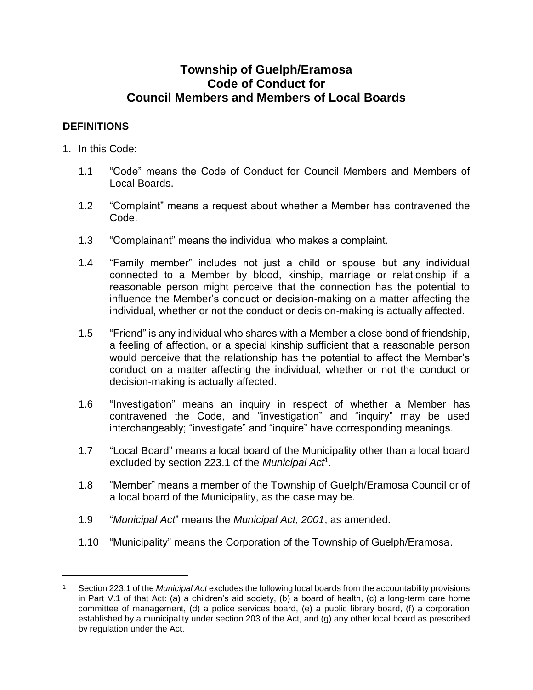# **Township of Guelph/Eramosa Code of Conduct for Council Members and Members of Local Boards**

## **DEFINITIONS**

1. In this Code:

 $\overline{a}$ 

- 1.1 "Code" means the Code of Conduct for Council Members and Members of Local Boards.
- 1.2 "Complaint" means a request about whether a Member has contravened the Code.
- 1.3 "Complainant" means the individual who makes a complaint.
- 1.4 "Family member" includes not just a child or spouse but any individual connected to a Member by blood, kinship, marriage or relationship if a reasonable person might perceive that the connection has the potential to influence the Member's conduct or decision-making on a matter affecting the individual, whether or not the conduct or decision-making is actually affected.
- 1.5 "Friend" is any individual who shares with a Member a close bond of friendship, a feeling of affection, or a special kinship sufficient that a reasonable person would perceive that the relationship has the potential to affect the Member's conduct on a matter affecting the individual, whether or not the conduct or decision-making is actually affected.
- 1.6 "Investigation" means an inquiry in respect of whether a Member has contravened the Code, and "investigation" and "inquiry" may be used interchangeably; "investigate" and "inquire" have corresponding meanings.
- 1.7 "Local Board" means a local board of the Municipality other than a local board excluded by section 223.1 of the *Municipal Act*<sup>1</sup> .
- 1.8 "Member" means a member of the Township of Guelph/Eramosa Council or of a local board of the Municipality, as the case may be.
- 1.9 "*Municipal Act*" means the *Municipal Act, 2001*, as amended.
- 1.10 "Municipality" means the Corporation of the Township of Guelph/Eramosa.

<sup>1</sup> Section 223.1 of the *Municipal Act* excludes the following local boards from the accountability provisions in Part V.1 of that Act: (a) a children's aid society, (b) a board of health, (c) a long-term care home committee of management, (d) a police services board, (e) a public library board, (f) a corporation established by a municipality under section 203 of the Act, and (g) any other local board as prescribed by regulation under the Act.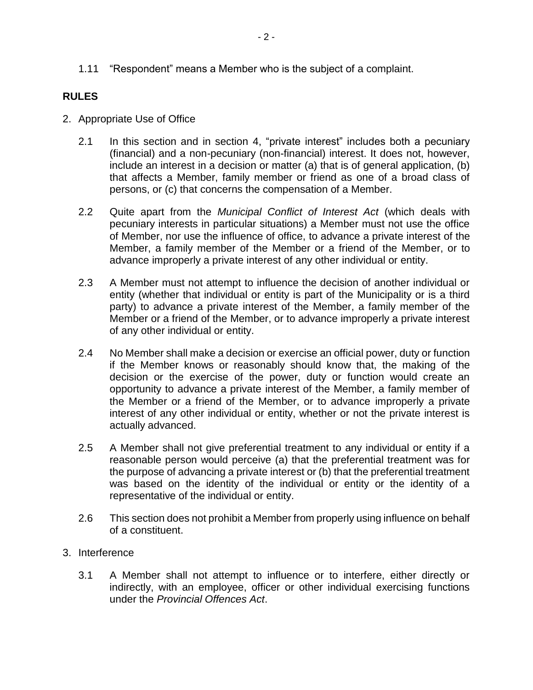1.11 "Respondent" means a Member who is the subject of a complaint.

### **RULES**

- 2. Appropriate Use of Office
	- 2.1 In this section and in section [4,](#page-2-0) "private interest" includes both a pecuniary (financial) and a non-pecuniary (non-financial) interest. It does not, however, include an interest in a decision or matter (a) that is of general application, (b) that affects a Member, family member or friend as one of a broad class of persons, or (c) that concerns the compensation of a Member.
	- 2.2 Quite apart from the *Municipal Conflict of Interest Act* (which deals with pecuniary interests in particular situations) a Member must not use the office of Member, nor use the influence of office, to advance a private interest of the Member, a family member of the Member or a friend of the Member, or to advance improperly a private interest of any other individual or entity.
	- 2.3 A Member must not attempt to influence the decision of another individual or entity (whether that individual or entity is part of the Municipality or is a third party) to advance a private interest of the Member, a family member of the Member or a friend of the Member, or to advance improperly a private interest of any other individual or entity.
	- 2.4 No Member shall make a decision or exercise an official power, duty or function if the Member knows or reasonably should know that, the making of the decision or the exercise of the power, duty or function would create an opportunity to advance a private interest of the Member, a family member of the Member or a friend of the Member, or to advance improperly a private interest of any other individual or entity, whether or not the private interest is actually advanced.
	- 2.5 A Member shall not give preferential treatment to any individual or entity if a reasonable person would perceive (a) that the preferential treatment was for the purpose of advancing a private interest or (b) that the preferential treatment was based on the identity of the individual or entity or the identity of a representative of the individual or entity.
	- 2.6 This section does not prohibit a Member from properly using influence on behalf of a constituent.
- 3. Interference
	- 3.1 A Member shall not attempt to influence or to interfere, either directly or indirectly, with an employee, officer or other individual exercising functions under the *Provincial Offences Act*.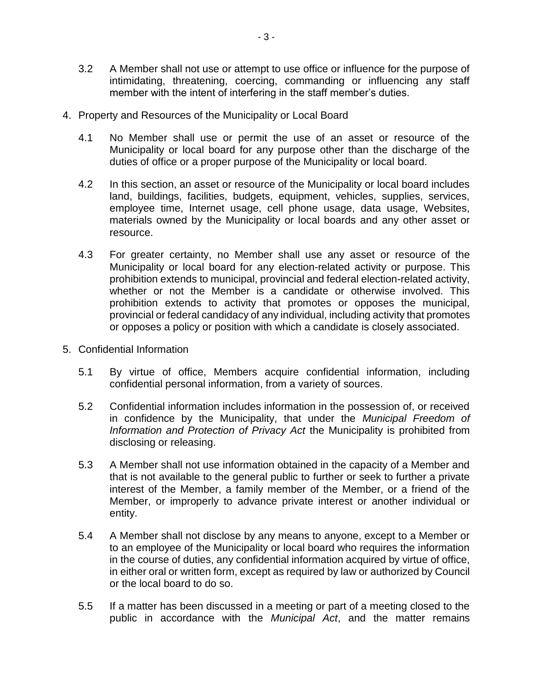- 3.2 A Member shall not use or attempt to use office or influence for the purpose of intimidating, threatening, coercing, commanding or influencing any staff member with the intent of interfering in the staff member's duties.
- <span id="page-2-0"></span>4. Property and Resources of the Municipality or Local Board
	- 4.1 No Member shall use or permit the use of an asset or resource of the Municipality or local board for any purpose other than the discharge of the duties of office or a proper purpose of the Municipality or local board.
	- 4.2 In this section, an asset or resource of the Municipality or local board includes land, buildings, facilities, budgets, equipment, vehicles, supplies, services, employee time, Internet usage, cell phone usage, data usage, Websites, materials owned by the Municipality or local boards and any other asset or resource.
	- 4.3 For greater certainty, no Member shall use any asset or resource of the Municipality or local board for any election-related activity or purpose. This prohibition extends to municipal, provincial and federal election-related activity, whether or not the Member is a candidate or otherwise involved. This prohibition extends to activity that promotes or opposes the municipal, provincial or federal candidacy of any individual, including activity that promotes or opposes a policy or position with which a candidate is closely associated.
- 5. Confidential Information
	- 5.1 By virtue of office, Members acquire confidential information, including confidential personal information, from a variety of sources.
	- 5.2 Confidential information includes information in the possession of, or received in confidence by the Municipality, that under the *Municipal Freedom of Information and Protection of Privacy Act* the Municipality is prohibited from disclosing or releasing.
	- 5.3 A Member shall not use information obtained in the capacity of a Member and that is not available to the general public to further or seek to further a private interest of the Member, a family member of the Member, or a friend of the Member, or improperly to advance private interest or another individual or entity.
	- 5.4 A Member shall not disclose by any means to anyone, except to a Member or to an employee of the Municipality or local board who requires the information in the course of duties, any confidential information acquired by virtue of office, in either oral or written form, except as required by law or authorized by Council or the local board to do so.
	- 5.5 If a matter has been discussed in a meeting or part of a meeting closed to the public in accordance with the *Municipal Act*, and the matter remains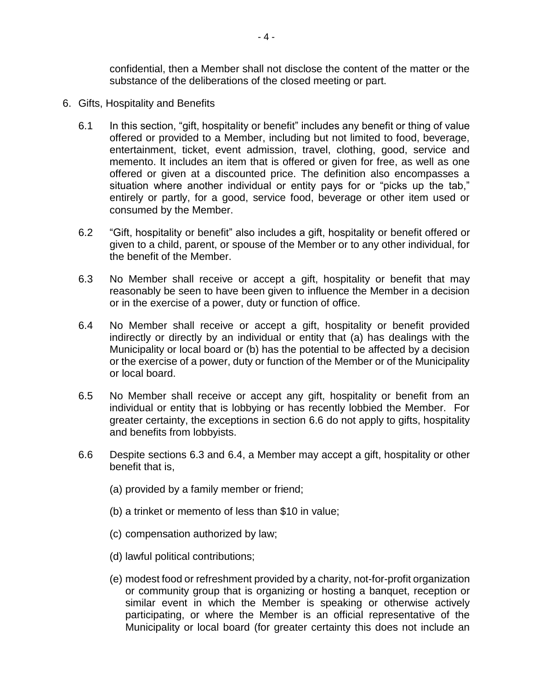confidential, then a Member shall not disclose the content of the matter or the substance of the deliberations of the closed meeting or part.

- <span id="page-3-2"></span><span id="page-3-1"></span><span id="page-3-0"></span>6. Gifts, Hospitality and Benefits
	- 6.1 In this section, "gift, hospitality or benefit" includes any benefit or thing of value offered or provided to a Member, including but not limited to food, beverage, entertainment, ticket, event admission, travel, clothing, good, service and memento. It includes an item that is offered or given for free, as well as one offered or given at a discounted price. The definition also encompasses a situation where another individual or entity pays for or "picks up the tab," entirely or partly, for a good, service food, beverage or other item used or consumed by the Member.
	- 6.2 "Gift, hospitality or benefit" also includes a gift, hospitality or benefit offered or given to a child, parent, or spouse of the Member or to any other individual, for the benefit of the Member.
	- 6.3 No Member shall receive or accept a gift, hospitality or benefit that may reasonably be seen to have been given to influence the Member in a decision or in the exercise of a power, duty or function of office.
	- 6.4 No Member shall receive or accept a gift, hospitality or benefit provided indirectly or directly by an individual or entity that (a) has dealings with the Municipality or local board or (b) has the potential to be affected by a decision or the exercise of a power, duty or function of the Member or of the Municipality or local board.
	- 6.5 No Member shall receive or accept any gift, hospitality or benefit from an individual or entity that is lobbying or has recently lobbied the Member. For greater certainty, the exceptions in section [6.6](#page-3-0) do not apply to gifts, hospitality and benefits from lobbyists.
	- 6.6 Despite sections [6.3](#page-3-1) and [6.4,](#page-3-2) a Member may accept a gift, hospitality or other benefit that is,
		- (a) provided by a family member or friend;
		- (b) a trinket or memento of less than \$10 in value;
		- (c) compensation authorized by law;
		- (d) lawful political contributions;
		- (e) modest food or refreshment provided by a charity, not-for-profit organization or community group that is organizing or hosting a banquet, reception or similar event in which the Member is speaking or otherwise actively participating, or where the Member is an official representative of the Municipality or local board (for greater certainty this does not include an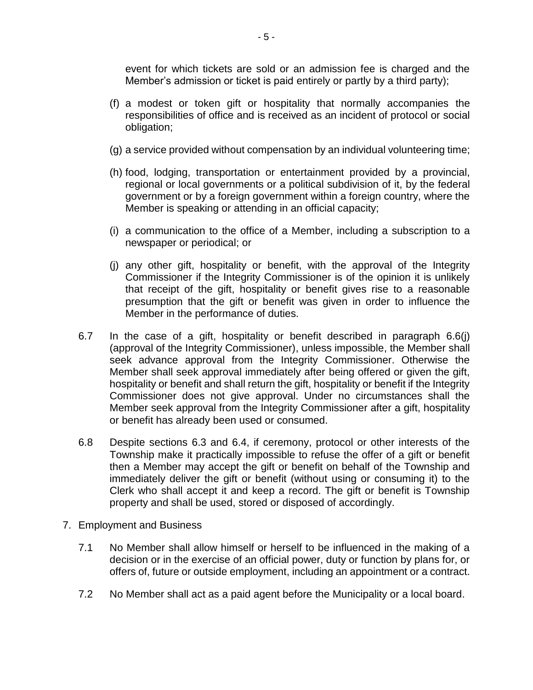event for which tickets are sold or an admission fee is charged and the Member's admission or ticket is paid entirely or partly by a third party);

- (f) a modest or token gift or hospitality that normally accompanies the responsibilities of office and is received as an incident of protocol or social obligation;
- (g) a service provided without compensation by an individual volunteering time;
- (h) food, lodging, transportation or entertainment provided by a provincial, regional or local governments or a political subdivision of it, by the federal government or by a foreign government within a foreign country, where the Member is speaking or attending in an official capacity;
- (i) a communication to the office of a Member, including a subscription to a newspaper or periodical; or
- <span id="page-4-0"></span>(j) any other gift, hospitality or benefit, with the approval of the Integrity Commissioner if the Integrity Commissioner is of the opinion it is unlikely that receipt of the gift, hospitality or benefit gives rise to a reasonable presumption that the gift or benefit was given in order to influence the Member in the performance of duties.
- 6.7 In the case of a gift, hospitality or benefit described in paragraph [6.6\(j\)](#page-4-0) (approval of the Integrity Commissioner), unless impossible, the Member shall seek advance approval from the Integrity Commissioner. Otherwise the Member shall seek approval immediately after being offered or given the gift, hospitality or benefit and shall return the gift, hospitality or benefit if the Integrity Commissioner does not give approval. Under no circumstances shall the Member seek approval from the Integrity Commissioner after a gift, hospitality or benefit has already been used or consumed.
- 6.8 Despite sections 6.3 and 6.4, if ceremony, protocol or other interests of the Township make it practically impossible to refuse the offer of a gift or benefit then a Member may accept the gift or benefit on behalf of the Township and immediately deliver the gift or benefit (without using or consuming it) to the Clerk who shall accept it and keep a record. The gift or benefit is Township property and shall be used, stored or disposed of accordingly.
- 7. Employment and Business
	- 7.1 No Member shall allow himself or herself to be influenced in the making of a decision or in the exercise of an official power, duty or function by plans for, or offers of, future or outside employment, including an appointment or a contract.
	- 7.2 No Member shall act as a paid agent before the Municipality or a local board.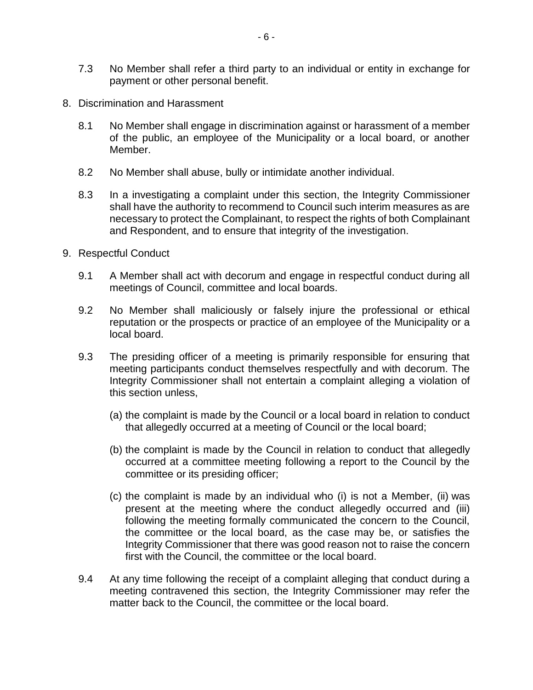- 7.3 No Member shall refer a third party to an individual or entity in exchange for payment or other personal benefit.
- 8. Discrimination and Harassment
	- 8.1 No Member shall engage in discrimination against or harassment of a member of the public, an employee of the Municipality or a local board, or another Member.
	- 8.2 No Member shall abuse, bully or intimidate another individual.
	- 8.3 In a investigating a complaint under this section, the Integrity Commissioner shall have the authority to recommend to Council such interim measures as are necessary to protect the Complainant, to respect the rights of both Complainant and Respondent, and to ensure that integrity of the investigation.
- 9. Respectful Conduct
	- 9.1 A Member shall act with decorum and engage in respectful conduct during all meetings of Council, committee and local boards.
	- 9.2 No Member shall maliciously or falsely injure the professional or ethical reputation or the prospects or practice of an employee of the Municipality or a local board.
	- 9.3 The presiding officer of a meeting is primarily responsible for ensuring that meeting participants conduct themselves respectfully and with decorum. The Integrity Commissioner shall not entertain a complaint alleging a violation of this section unless,
		- (a) the complaint is made by the Council or a local board in relation to conduct that allegedly occurred at a meeting of Council or the local board;
		- (b) the complaint is made by the Council in relation to conduct that allegedly occurred at a committee meeting following a report to the Council by the committee or its presiding officer;
		- (c) the complaint is made by an individual who (i) is not a Member, (ii) was present at the meeting where the conduct allegedly occurred and (iii) following the meeting formally communicated the concern to the Council, the committee or the local board, as the case may be, or satisfies the Integrity Commissioner that there was good reason not to raise the concern first with the Council, the committee or the local board.
	- 9.4 At any time following the receipt of a complaint alleging that conduct during a meeting contravened this section, the Integrity Commissioner may refer the matter back to the Council, the committee or the local board.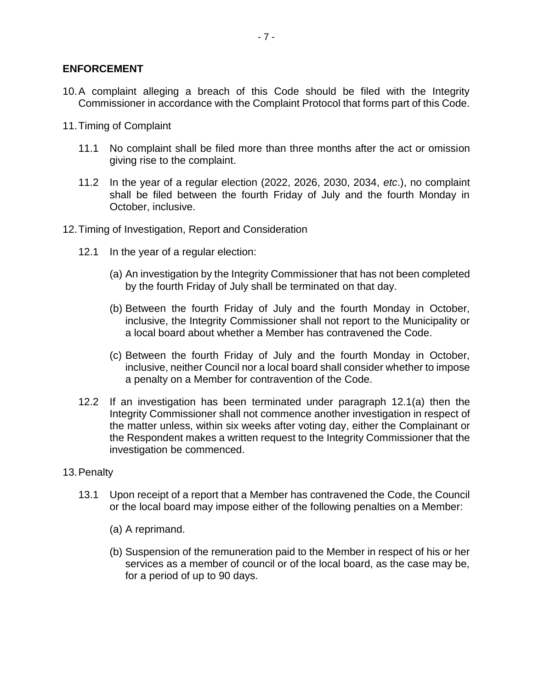### **ENFORCEMENT**

- 10.A complaint alleging a breach of this Code should be filed with the Integrity Commissioner in accordance with the Complaint Protocol that forms part of this Code.
- 11.Timing of Complaint
	- 11.1 No complaint shall be filed more than three months after the act or omission giving rise to the complaint.
	- 11.2 In the year of a regular election (2022, 2026, 2030, 2034, *etc*.), no complaint shall be filed between the fourth Friday of July and the fourth Monday in October, inclusive.
- <span id="page-6-0"></span>12.Timing of Investigation, Report and Consideration
	- 12.1 In the year of a regular election:
		- (a) An investigation by the Integrity Commissioner that has not been completed by the fourth Friday of July shall be terminated on that day.
		- (b) Between the fourth Friday of July and the fourth Monday in October, inclusive, the Integrity Commissioner shall not report to the Municipality or a local board about whether a Member has contravened the Code.
		- (c) Between the fourth Friday of July and the fourth Monday in October, inclusive, neither Council nor a local board shall consider whether to impose a penalty on a Member for contravention of the Code.
	- 12.2 If an investigation has been terminated under paragraph [12.1\(a\)](#page-6-0) then the Integrity Commissioner shall not commence another investigation in respect of the matter unless, within six weeks after voting day, either the Complainant or the Respondent makes a written request to the Integrity Commissioner that the investigation be commenced.
- 13.Penalty
	- 13.1 Upon receipt of a report that a Member has contravened the Code, the Council or the local board may impose either of the following penalties on a Member:
		- (a) A reprimand.
		- (b) Suspension of the remuneration paid to the Member in respect of his or her services as a member of council or of the local board, as the case may be, for a period of up to 90 days.